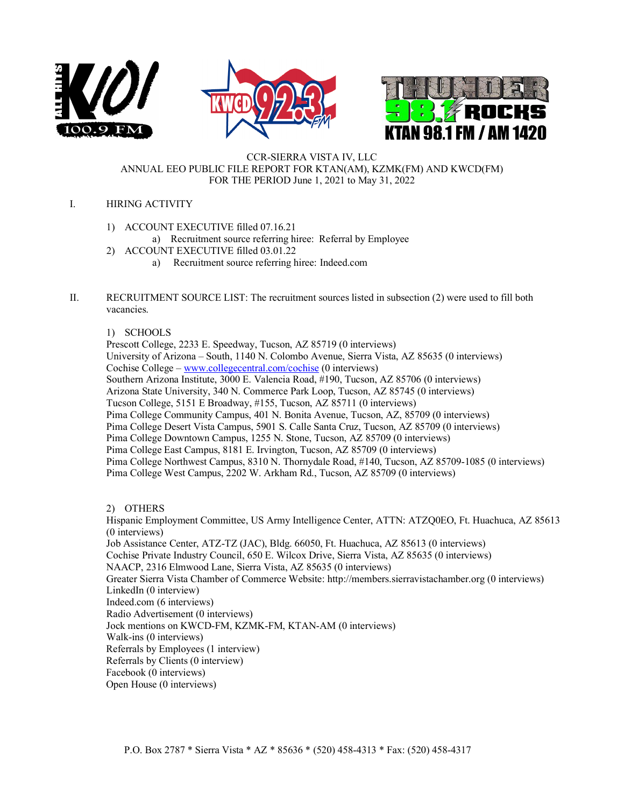





#### CCR-SIERRA VISTA IV, LLC ANNUAL EEO PUBLIC FILE REPORT FOR KTAN(AM), KZMK(FM) AND KWCD(FM) FOR THE PERIOD June 1, 2021 to May 31, 2022

### I. HIRING ACTIVITY

- 1) ACCOUNT EXECUTIVE filled 07.16.21
	- a) Recruitment source referring hiree: Referral by Employee
- 2) ACCOUNT EXECUTIVE filled 03.01.22
	- a) Recruitment source referring hiree: Indeed.com
- II. RECRUITMENT SOURCE LIST: The recruitment sources listed in subsection (2) were used to fill both vacancies.

### 1) SCHOOLS

Prescott College, 2233 E. Speedway, Tucson, AZ 85719 (0 interviews) University of Arizona – South, 1140 N. Colombo Avenue, Sierra Vista, AZ 85635 (0 interviews) Cochise College – [www.collegecentral.com/cochise](http://www.collegecentral.com/cochise) (0 interviews) Southern Arizona Institute, 3000 E. Valencia Road, #190, Tucson, AZ 85706 (0 interviews) Arizona State University, 340 N. Commerce Park Loop, Tucson, AZ 85745 (0 interviews) Tucson College, 5151 E Broadway, #155, Tucson, AZ 85711 (0 interviews) Pima College Community Campus, 401 N. Bonita Avenue, Tucson, AZ, 85709 (0 interviews) Pima College Desert Vista Campus, 5901 S. Calle Santa Cruz, Tucson, AZ 85709 (0 interviews) Pima College Downtown Campus, 1255 N. Stone, Tucson, AZ 85709 (0 interviews) Pima College East Campus, 8181 E. Irvington, Tucson, AZ 85709 (0 interviews) Pima College Northwest Campus, 8310 N. Thornydale Road, #140, Tucson, AZ 85709-1085 (0 interviews) Pima College West Campus, 2202 W. Arkham Rd., Tucson, AZ 85709 (0 interviews)

# 2) OTHERS

Hispanic Employment Committee, US Army Intelligence Center, ATTN: ATZQ0EO, Ft. Huachuca, AZ 85613 (0 interviews) Job Assistance Center, ATZ-TZ (JAC), Bldg. 66050, Ft. Huachuca, AZ 85613 (0 interviews) Cochise Private Industry Council, 650 E. Wilcox Drive, Sierra Vista, AZ 85635 (0 interviews) NAACP, 2316 Elmwood Lane, Sierra Vista, AZ 85635 (0 interviews) Greater Sierra Vista Chamber of Commerce Website: [http://members.sierravistachamber.org \(](http://members.sierravistachamber.org/)0 interviews) LinkedIn (0 interview) Indeed.com (6 interviews) Radio Advertisement (0 interviews) Jock mentions on KWCD-FM, KZMK-FM, KTAN-AM (0 interviews) Walk-ins (0 interviews) Referrals by Employees (1 interview) Referrals by Clients (0 interview) Facebook (0 interviews) Open House (0 interviews)